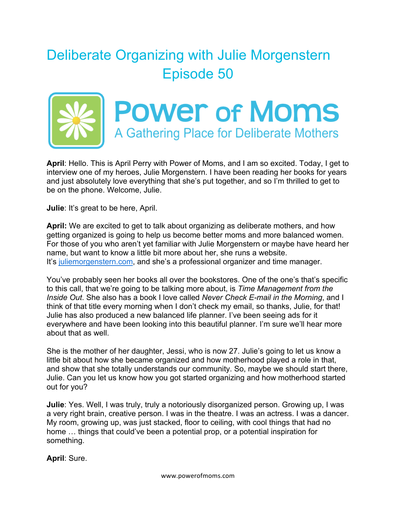## Deliberate Organizing with Julie Morgenstern Episode 50



**April**: Hello. This is April Perry with Power of Moms, and I am so excited. Today, I get to interview one of my heroes, Julie Morgenstern. I have been reading her books for years and just absolutely love everything that she's put together, and so I'm thrilled to get to be on the phone. Welcome, Julie.

**Julie**: It's great to be here, April.

**April:** We are excited to get to talk about organizing as deliberate mothers, and how getting organized is going to help us become better moms and more balanced women. For those of you who aren't yet familiar with Julie Morgenstern or maybe have heard her name, but want to know a little bit more about her, she runs a website. It's juliemorgenstern.com, and she's a professional organizer and time manager.

You've probably seen her books all over the bookstores. One of the one's that's specific to this call, that we're going to be talking more about, is *Time Management from the Inside Out*. She also has a book I love called *Never Check E-mail in the Morning*, and I think of that title every morning when I don't check my email, so thanks, Julie, for that! Julie has also produced a new balanced life planner. I've been seeing ads for it everywhere and have been looking into this beautiful planner. I'm sure we'll hear more about that as well.

She is the mother of her daughter, Jessi, who is now 27. Julie's going to let us know a little bit about how she became organized and how motherhood played a role in that, and show that she totally understands our community. So, maybe we should start there, Julie. Can you let us know how you got started organizing and how motherhood started out for you?

**Julie**: Yes. Well, I was truly, truly a notoriously disorganized person. Growing up, I was a very right brain, creative person. I was in the theatre. I was an actress. I was a dancer. My room, growing up, was just stacked, floor to ceiling, with cool things that had no home … things that could've been a potential prop, or a potential inspiration for something.

**April**: Sure.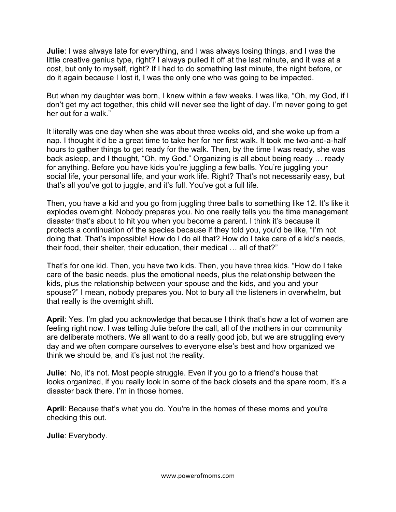**Julie**: I was always late for everything, and I was always losing things, and I was the little creative genius type, right? I always pulled it off at the last minute, and it was at a cost, but only to myself, right? If I had to do something last minute, the night before, or do it again because I lost it, I was the only one who was going to be impacted.

But when my daughter was born, I knew within a few weeks. I was like, "Oh, my God, if I don't get my act together, this child will never see the light of day. I'm never going to get her out for a walk."

It literally was one day when she was about three weeks old, and she woke up from a nap. I thought it'd be a great time to take her for her first walk. It took me two-and-a-half hours to gather things to get ready for the walk. Then, by the time I was ready, she was back asleep, and I thought, "Oh, my God." Organizing is all about being ready … ready for anything. Before you have kids you're juggling a few balls. You're juggling your social life, your personal life, and your work life. Right? That's not necessarily easy, but that's all you've got to juggle, and it's full. You've got a full life.

Then, you have a kid and you go from juggling three balls to something like 12. It's like it explodes overnight. Nobody prepares you. No one really tells you the time management disaster that's about to hit you when you become a parent. I think it's because it protects a continuation of the species because if they told you, you'd be like, "I'm not doing that. That's impossible! How do I do all that? How do I take care of a kid's needs, their food, their shelter, their education, their medical … all of that?"

That's for one kid. Then, you have two kids. Then, you have three kids. "How do I take care of the basic needs, plus the emotional needs, plus the relationship between the kids, plus the relationship between your spouse and the kids, and you and your spouse?" I mean, nobody prepares you. Not to bury all the listeners in overwhelm, but that really is the overnight shift.

**April**: Yes. I'm glad you acknowledge that because I think that's how a lot of women are feeling right now. I was telling Julie before the call, all of the mothers in our community are deliberate mothers. We all want to do a really good job, but we are struggling every day and we often compare ourselves to everyone else's best and how organized we think we should be, and it's just not the reality.

**Julie**: No, it's not. Most people struggle. Even if you go to a friend's house that looks organized, if you really look in some of the back closets and the spare room, it's a disaster back there. I'm in those homes.

**April**: Because that's what you do. You're in the homes of these moms and you're checking this out.

**Julie**: Everybody.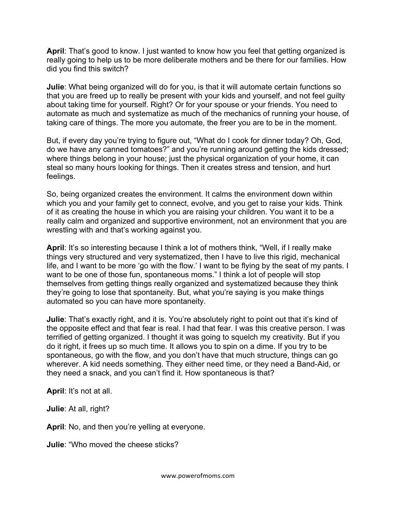**April**: That's good to know. I just wanted to know how you feel that getting organized is really going to help us to be more deliberate mothers and be there for our families. How did you find this switch?

**Julie**: What being organized will do for you, is that it will automate certain functions so that you are freed up to really be present with your kids and yourself, and not feel guilty about taking time for yourself. Right? Or for your spouse or your friends. You need to automate as much and systematize as much of the mechanics of running your house, of taking care of things. The more you automate, the freer you are to be in the moment.

But, if every day you're trying to figure out, "What do I cook for dinner today? Oh, God, do we have any canned tomatoes?" and you're running around getting the kids dressed; where things belong in your house; just the physical organization of your home, it can steal so many hours looking for things. Then it creates stress and tension, and hurt feelings.

So, being organized creates the environment. It calms the environment down within which you and your family get to connect, evolve, and you get to raise your kids. Think of it as creating the house in which you are raising your children. You want it to be a really calm and organized and supportive environment, not an environment that you are wrestling with and that's working against you.

**April**: It's so interesting because I think a lot of mothers think, "Well, if I really make things very structured and very systematized, then I have to live this rigid, mechanical life, and I want to be more 'go with the flow.' I want to be flying by the seat of my pants. I want to be one of those fun, spontaneous moms." I think a lot of people will stop themselves from getting things really organized and systematized because they think they're going to lose that spontaneity. But, what you're saying is you make things automated so you can have more spontaneity.

**Julie**: That's exactly right, and it is. You're absolutely right to point out that it's kind of the opposite effect and that fear is real. I had that fear. I was this creative person. I was terrified of getting organized. I thought it was going to squelch my creativity. But if you do it right, it frees up so much time. It allows you to spin on a dime. If you try to be spontaneous, go with the flow, and you don't have that much structure, things can go wherever. A kid needs something. They either need time, or they need a Band-Aid, or they need a snack, and you can't find it. How spontaneous is that?

**April**: It's not at all.

**Julie**: At all, right?

**April**: No, and then you're yelling at everyone.

**Julie**: "Who moved the cheese sticks?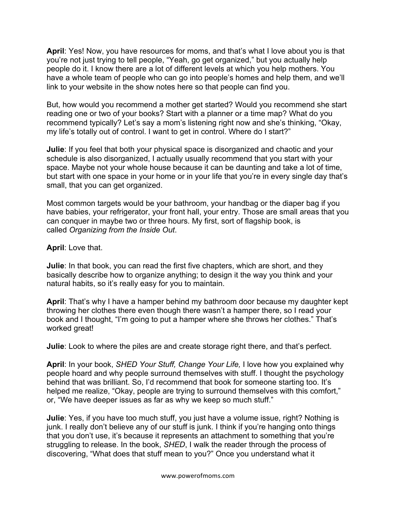**April**: Yes! Now, you have resources for moms, and that's what I love about you is that you're not just trying to tell people, "Yeah, go get organized," but you actually help people do it. I know there are a lot of different levels at which you help mothers. You have a whole team of people who can go into people's homes and help them, and we'll link to your website in the show notes here so that people can find you.

But, how would you recommend a mother get started? Would you recommend she start reading one or two of your books? Start with a planner or a time map? What do you recommend typically? Let's say a mom's listening right now and she's thinking, "Okay, my life's totally out of control. I want to get in control. Where do I start?"

**Julie**: If you feel that both your physical space is disorganized and chaotic and your schedule is also disorganized, I actually usually recommend that you start with your space. Maybe not your whole house because it can be daunting and take a lot of time, but start with one space in your home or in your life that you're in every single day that's small, that you can get organized.

Most common targets would be your bathroom, your handbag or the diaper bag if you have babies, your refrigerator, your front hall, your entry. Those are small areas that you can conquer in maybe two or three hours. My first, sort of flagship book, is called *Organizing from the Inside Out*.

**April**: Love that.

**Julie**: In that book, you can read the first five chapters, which are short, and they basically describe how to organize anything; to design it the way you think and your natural habits, so it's really easy for you to maintain.

**April**: That's why I have a hamper behind my bathroom door because my daughter kept throwing her clothes there even though there wasn't a hamper there, so I read your book and I thought, "I'm going to put a hamper where she throws her clothes." That's worked great!

**Julie**: Look to where the piles are and create storage right there, and that's perfect.

**April**: In your book, *SHED Your Stuff, Change Your Life,* I love how you explained why people hoard and why people surround themselves with stuff. I thought the psychology behind that was brilliant. So, I'd recommend that book for someone starting too. It's helped me realize, "Okay, people are trying to surround themselves with this comfort," or, "We have deeper issues as far as why we keep so much stuff."

**Julie**: Yes, if you have too much stuff, you just have a volume issue, right? Nothing is junk. I really don't believe any of our stuff is junk. I think if you're hanging onto things that you don't use, it's because it represents an attachment to something that you're struggling to release. In the book, *SHED*, I walk the reader through the process of discovering, "What does that stuff mean to you?" Once you understand what it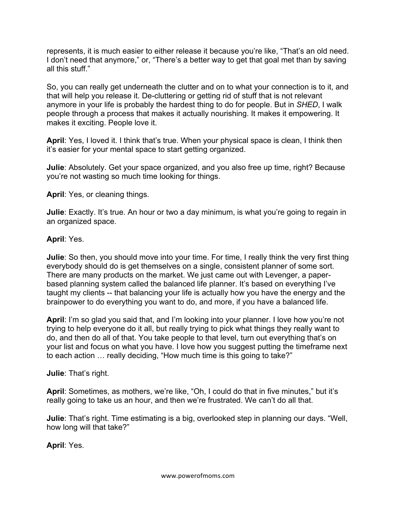represents, it is much easier to either release it because you're like, "That's an old need. I don't need that anymore," or, "There's a better way to get that goal met than by saving all this stuff."

So, you can really get underneath the clutter and on to what your connection is to it, and that will help you release it. De-cluttering or getting rid of stuff that is not relevant anymore in your life is probably the hardest thing to do for people. But in *SHED*, I walk people through a process that makes it actually nourishing. It makes it empowering. It makes it exciting. People love it.

**April**: Yes, I loved it. I think that's true. When your physical space is clean, I think then it's easier for your mental space to start getting organized.

**Julie**: Absolutely. Get your space organized, and you also free up time, right? Because you're not wasting so much time looking for things.

**April**: Yes, or cleaning things.

**Julie**: Exactly. It's true. An hour or two a day minimum, is what you're going to regain in an organized space.

**April**: Yes.

**Julie**: So then, you should move into your time. For time, I really think the very first thing everybody should do is get themselves on a single, consistent planner of some sort. There are many products on the market. We just came out with Levenger, a paperbased planning system called the balanced life planner. It's based on everything I've taught my clients -- that balancing your life is actually how you have the energy and the brainpower to do everything you want to do, and more, if you have a balanced life.

**April**: I'm so glad you said that, and I'm looking into your planner. I love how you're not trying to help everyone do it all, but really trying to pick what things they really want to do, and then do all of that. You take people to that level, turn out everything that's on your list and focus on what you have. I love how you suggest putting the timeframe next to each action … really deciding, "How much time is this going to take?"

**Julie**: That's right.

**April**: Sometimes, as mothers, we're like, "Oh, I could do that in five minutes," but it's really going to take us an hour, and then we're frustrated. We can't do all that.

**Julie**: That's right. Time estimating is a big, overlooked step in planning our days. "Well, how long will that take?"

**April**: Yes.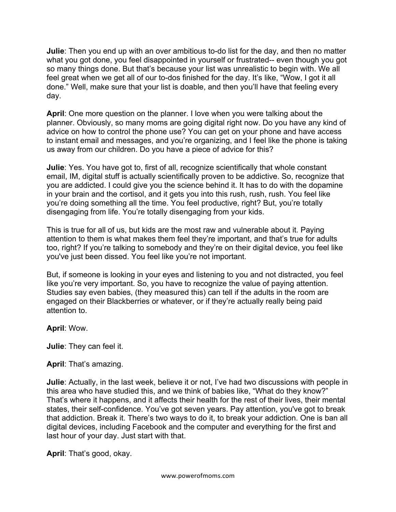**Julie**: Then you end up with an over ambitious to-do list for the day, and then no matter what you got done, you feel disappointed in yourself or frustrated-- even though you got so many things done. But that's because your list was unrealistic to begin with. We all feel great when we get all of our to-dos finished for the day. It's like, "Wow, I got it all done." Well, make sure that your list is doable, and then you'll have that feeling every day.

**April**: One more question on the planner. I love when you were talking about the planner. Obviously, so many moms are going digital right now. Do you have any kind of advice on how to control the phone use? You can get on your phone and have access to instant email and messages, and you're organizing, and I feel like the phone is taking us away from our children. Do you have a piece of advice for this?

**Julie**: Yes. You have got to, first of all, recognize scientifically that whole constant email, IM, digital stuff is actually scientifically proven to be addictive. So, recognize that you are addicted. I could give you the science behind it. It has to do with the dopamine in your brain and the cortisol, and it gets you into this rush, rush, rush. You feel like you're doing something all the time. You feel productive, right? But, you're totally disengaging from life. You're totally disengaging from your kids.

This is true for all of us, but kids are the most raw and vulnerable about it. Paying attention to them is what makes them feel they're important, and that's true for adults too, right? If you're talking to somebody and they're on their digital device, you feel like you've just been dissed. You feel like you're not important.

But, if someone is looking in your eyes and listening to you and not distracted, you feel like you're very important. So, you have to recognize the value of paying attention. Studies say even babies, (they measured this) can tell if the adults in the room are engaged on their Blackberries or whatever, or if they're actually really being paid attention to.

**April**: Wow.

**Julie**: They can feel it.

**April**: That's amazing.

**Julie**: Actually, in the last week, believe it or not, I've had two discussions with people in this area who have studied this, and we think of babies like, "What do they know?" That's where it happens, and it affects their health for the rest of their lives, their mental states, their self-confidence. You've got seven years. Pay attention, you've got to break that addiction. Break it. There's two ways to do it, to break your addiction. One is ban all digital devices, including Facebook and the computer and everything for the first and last hour of your day. Just start with that.

**April**: That's good, okay.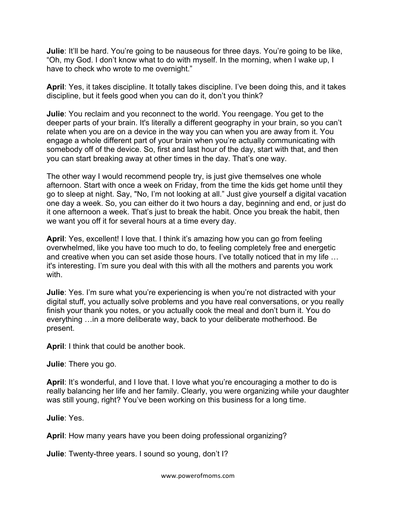**Julie**: It'll be hard. You're going to be nauseous for three days. You're going to be like, "Oh, my God. I don't know what to do with myself. In the morning, when I wake up, I have to check who wrote to me overnight."

**April**: Yes, it takes discipline. It totally takes discipline. I've been doing this, and it takes discipline, but it feels good when you can do it, don't you think?

**Julie**: You reclaim and you reconnect to the world. You reengage. You get to the deeper parts of your brain. It's literally a different geography in your brain, so you can't relate when you are on a device in the way you can when you are away from it. You engage a whole different part of your brain when you're actually communicating with somebody off of the device. So, first and last hour of the day, start with that, and then you can start breaking away at other times in the day. That's one way.

The other way I would recommend people try, is just give themselves one whole afternoon. Start with once a week on Friday, from the time the kids get home until they go to sleep at night. Say, "No, I'm not looking at all." Just give yourself a digital vacation one day a week. So, you can either do it two hours a day, beginning and end, or just do it one afternoon a week. That's just to break the habit. Once you break the habit, then we want you off it for several hours at a time every day.

**April**: Yes, excellent! I love that. I think it's amazing how you can go from feeling overwhelmed, like you have too much to do, to feeling completely free and energetic and creative when you can set aside those hours. I've totally noticed that in my life … it's interesting. I'm sure you deal with this with all the mothers and parents you work with.

**Julie**: Yes. I'm sure what you're experiencing is when you're not distracted with your digital stuff, you actually solve problems and you have real conversations, or you really finish your thank you notes, or you actually cook the meal and don't burn it. You do everything …in a more deliberate way, back to your deliberate motherhood. Be present.

**April**: I think that could be another book.

**Julie**: There you go.

**April**: It's wonderful, and I love that. I love what you're encouraging a mother to do is really balancing her life and her family. Clearly, you were organizing while your daughter was still young, right? You've been working on this business for a long time.

**Julie**: Yes.

**April**: How many years have you been doing professional organizing?

**Julie**: Twenty-three years. I sound so young, don't I?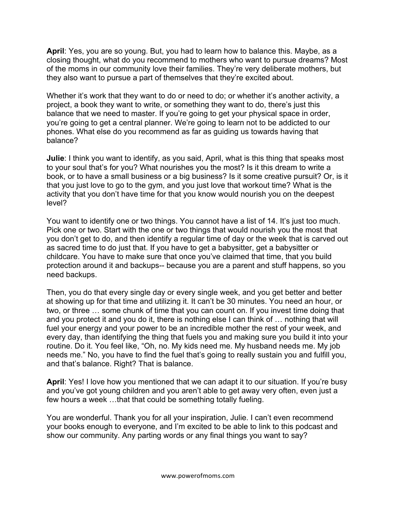**April**: Yes, you are so young. But, you had to learn how to balance this. Maybe, as a closing thought, what do you recommend to mothers who want to pursue dreams? Most of the moms in our community love their families. They're very deliberate mothers, but they also want to pursue a part of themselves that they're excited about.

Whether it's work that they want to do or need to do; or whether it's another activity, a project, a book they want to write, or something they want to do, there's just this balance that we need to master. If you're going to get your physical space in order, you're going to get a central planner. We're going to learn not to be addicted to our phones. What else do you recommend as far as guiding us towards having that balance?

**Julie**: I think you want to identify, as you said, April, what is this thing that speaks most to your soul that's for you? What nourishes you the most? Is it this dream to write a book, or to have a small business or a big business? Is it some creative pursuit? Or, is it that you just love to go to the gym, and you just love that workout time? What is the activity that you don't have time for that you know would nourish you on the deepest level?

You want to identify one or two things. You cannot have a list of 14. It's just too much. Pick one or two. Start with the one or two things that would nourish you the most that you don't get to do, and then identify a regular time of day or the week that is carved out as sacred time to do just that. If you have to get a babysitter, get a babysitter or childcare. You have to make sure that once you've claimed that time, that you build protection around it and backups-- because you are a parent and stuff happens, so you need backups.

Then, you do that every single day or every single week, and you get better and better at showing up for that time and utilizing it. It can't be 30 minutes. You need an hour, or two, or three … some chunk of time that you can count on. If you invest time doing that and you protect it and you do it, there is nothing else I can think of … nothing that will fuel your energy and your power to be an incredible mother the rest of your week, and every day, than identifying the thing that fuels you and making sure you build it into your routine. Do it. You feel like, "Oh, no. My kids need me. My husband needs me. My job needs me." No, you have to find the fuel that's going to really sustain you and fulfill you, and that's balance. Right? That is balance.

**April**: Yes! I love how you mentioned that we can adapt it to our situation. If you're busy and you've got young children and you aren't able to get away very often, even just a few hours a week …that that could be something totally fueling.

You are wonderful. Thank you for all your inspiration, Julie. I can't even recommend your books enough to everyone, and I'm excited to be able to link to this podcast and show our community. Any parting words or any final things you want to say?